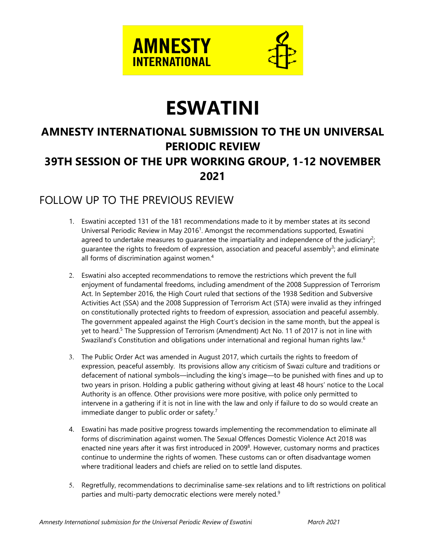

# **ESWATINI**

# **AMNESTY INTERNATIONAL SUBMISSION TO THE UN UNIVERSAL PERIODIC REVIEW 39TH SESSION OF THE UPR WORKING GROUP, 1-12 NOVEMBER 2021**

### FOLLOW UP TO THE PREVIOUS REVIEW

- 1. Eswatini accepted 131 of the 181 recommendations made to it by member states at its second Universal Periodic Review in May 2016<sup>1</sup>. Amongst the recommendations supported, Eswatini agreed to undertake measures to guarantee the impartiality and independence of the judiciary<sup>2</sup>; guarantee the rights to freedom of expression, association and peaceful assembly<sup>3</sup>; and eliminate all forms of discrimination against women. 4
- 2. Eswatini also accepted recommendations to remove the restrictions which prevent the full enjoyment of fundamental freedoms, including amendment of the 2008 Suppression of Terrorism Act. In September 2016, the High Court ruled that sections of the 1938 Sedition and Subversive Activities Act (SSA) and the 2008 Suppression of Terrorism Act (STA) were invalid as they infringed on constitutionally protected rights to freedom of expression, association and peaceful assembly. The governmen<sup>t</sup> appealed against the High Court'<sup>s</sup> decision in the same month, but the appeal is yet to heard.<sup>5</sup> The Suppression of Terrorism (Amendment) Act No. 11 of 2017 is not in line with Swaziland's Constitution and obligations under international and regional human rights law. $^{\rm 6}$
- 3. The Public Order Act was amended in August 2017, which curtails the rights to freedom of expression, peaceful assembly. Its provisions allow any criticism of Swazi culture and traditions or defacement of national symbols—including the king'<sup>s</sup> image—to be punished with fines and up to two years in prison. Holding <sup>a</sup> public gathering without giving at least 48 hours' notice to the Local Authority is an offence. Other provisions were more positive, with police only permitted to intervene in <sup>a</sup> gathering if it is not in line with the law and only if failure to do so would create an immediate danger to public order or safety.<sup>7</sup>
- 4. Eswatini has made positive progress towards implementing the recommendation to eliminate all forms of discrimination against women. The Sexual Offences Domestic Violence Act 2018 was enacted nine years after it was first introduced in 2009 $^8$ . However, customary norms and practices continue to undermine the rights of women. These customs can or often disadvantage women where traditional leaders and chiefs are relied on to settle land disputes.
- 5. Regretfully, recommendations to decriminalise same-sex relations and to lift restrictions on political parties and multi-party democratic elections were merely noted. $^9$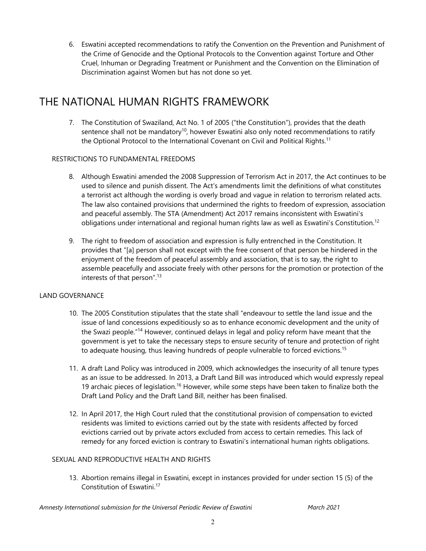6. Eswatini accepted recommendations to ratify the Convention on the Prevention and Punishment of the Crime of Genocide and the Optional Protocols to the Convention against Torture and Other Cruel, Inhuman or Degrading Treatment or Punishment and the Convention on the Elimination of Discrimination against Women but has not done so yet.

## THE NATIONAL HUMAN RIGHTS FRAMEWORK

7. The Constitution of Swaziland, Act No. 1 of 2005 ("the Constitution"), provides that the death sentence shall not be mandatory $^{\text{10}}$ , however Eswatini also only noted recommendations to ratify the Optional Protocol to the International Covenant on Civil and Political Rights.<sup>11</sup>

### RESTRICTIONS TO FUNDAMENTAL FREEDOMS

- 8. Although Eswatini amended the 2008 Suppression of Terrorism Act in 2017, the Act continues to be used to silence and punish dissent. The Act'<sup>s</sup> amendments limit the definitions of what constitutes <sup>a</sup> terrorist act although the wording is overly broad and vague in relation to terrorism related acts. The law also contained provisions that undermined the rights to freedom of expression, association and peaceful assembly. The STA (Amendment) Act 2017 remains inconsistent with Eswatini's obligations under international and regional human rights law as well as Eswatini's Constitution. $^{12}$
- 9. The right to freedom of association and expression is fully entrenched in the Constitution. It provides that "[a] person shall not except with the free consent of that person be hindered in the enjoyment of the freedom of peaceful assembly and association, that is to say, the right to assemble peacefully and associate freely with other persons for the promotion or protection of the interests of that person". 13

#### LAND GOVERNANCE

- 10. The 2005 Constitution stipulates that the state shall "endeavour to settle the land issue and the issue of land concessions expeditiously so as to enhance economic development and the unity of the Swazi people."<sup>14</sup> However, continued delays in legal and policy reform have meant that the governmen<sup>t</sup> is ye<sup>t</sup> to take the necessary steps to ensure security of tenure and protection of right to adequate housing, thus leaving hundreds of people vulnerable to forced evictions. 15
- 11. A draft Land Policy was introduced in 2009, which acknowledges the insecurity of all tenure types as an issue to be addressed. In 2013, <sup>a</sup> Draft Land Bill was introduced which would expressly repeal 19 archaic pieces of legislation.<sup>16</sup> However, while some steps have been taken to finalize both the Draft Land Policy and the Draft Land Bill, neither has been finalised.
- 12. In April 2017, the High Court ruled that the constitutional provision of compensation to evicted residents was limited to evictions carried out by the state with residents affected by forced evictions carried out by private actors excluded from access to certain remedies. This lack of remedy for any forced eviction is contrary to Eswatini'<sup>s</sup> international human rights obligations.

#### SEXUAL AND REPRODUCTIVE HEALTH AND RIGHTS

13. Abortion remains illegal in Eswatini, except in instances provided for under section 15 (5) of the Constitution of Eswatini. 17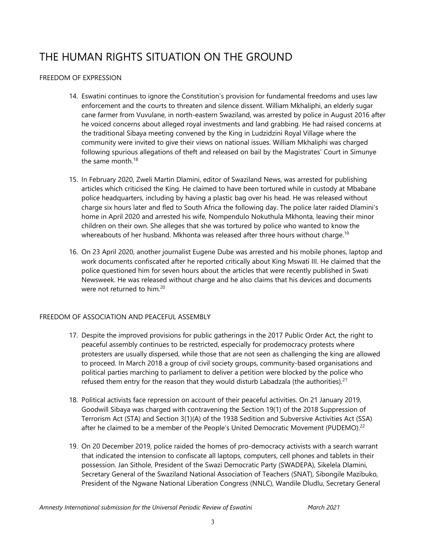# THE HUMAN RIGHTS SITUATION ON THE GROUND

### FREEDOM OF EXPRESSION

- 14. Eswatini continues to ignore the Constitution'<sup>s</sup> provision for fundamental freedoms and uses law enforcement and the courts to threaten and silence dissent. William Mkhaliphi, an elderly sugar cane farmer from Vuvulane, in north-eastern Swaziland, was arrested by police in August 2016 after he voiced concerns about alleged royal investments and land grabbing. He had raised concerns at the traditional Sibaya meeting convened by the King in Ludzidzini Royal Village where the community were invited to give their views on national issues. William Mkhaliphi was charged following spurious allegations of theft and released on bail by the Magistrates' Court in Simunye the same month.<sup>18</sup>
- 15. In February 2020, Zweli Martin Dlamini, editor of Swaziland News, was arrested for publishing articles which criticised the King. He claimed to have been tortured while in custody at Mbabane police headquarters, including by having <sup>a</sup> plastic bag over his head. He was released without charge six hours later and fled to South Africa the following day. The police later raided Dlamini'<sup>s</sup> home in April 2020 and arrested his wife, Nompendulo Nokuthula Mkhonta, leaving their minor children on their own. She alleges that she was tortured by police who wanted to know the whereabouts of her husband. Mkhonta was released after three hours without charge.<sup>19</sup>
- 16. On 23 April 2020, another journalist Eugene Dube was arrested and his mobile phones, laptop and work documents confiscated after he reported critically about King Mswati III. He claimed that the police questioned him for seven hours about the articles that were recently published in Swati Newsweek. He was released without charge and he also claims that his devices and documents were not returned to him.<sup>20</sup>

#### FREEDOM OF ASSOCIATION AND PEACEFUL ASSEMBLY

- 17. Despite the improved provisions for public gatherings in the 2017 Public Order Act, the right to peaceful assembly continues to be restricted, especially for prodemocracy protests where protesters are usually dispersed, while those that are not seen as challenging the king are allowed to proceed. In March 2018 <sup>a</sup> group of civil society groups, community-based organisations and political parties marching to parliament to deliver <sup>a</sup> petition were blocked by the police who refused them entry for the reason that they would disturb Labadzala (the authorities). $^{21}$
- 18. Political activists face repression on account of their peaceful activities. On 21 January 2019, Goodwill Sibaya was charged with contravening the Section 19(1) of the 2018 Suppression of Terrorism Act (STA) and Section 3(1)(A) of the 1938 Sedition and Subversive Activities Act (SSA) after he claimed to be a member of the People's United Democratic Movement (PUDEMO).<sup>22</sup>
- 19. On 20 December 2019, police raided the homes of pro-democracy activists with <sup>a</sup> search warrant that indicated the intension to confiscate all laptops, computers, cell phones and tablets in their possession. Jan Sithole, President of the Swazi Democratic Party (SWADEPA), Sikelela Dlamini, Secretary General of the Swaziland National Association of Teachers (SNAT), Sibongile Mazibuko, President of the Ngwane National Liberation Congress (NNLC), Wandile Dludlu, Secretary General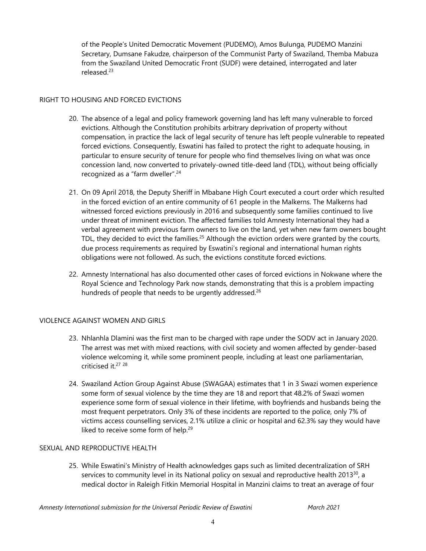of the People'<sup>s</sup> United Democratic Movement (PUDEMO), Amos Bulunga, PUDEMO Manzini Secretary, Dumsane Fakudze, chairperson of the Communist Party of Swaziland, Themba Mabuza from the Swaziland United Democratic Front (SUDF) were detained, interrogated and later released.<sup>23</sup>

#### RIGHT TO HOUSING AND FORCED EVICTIONS

- 20. The absence of <sup>a</sup> legal and policy framework governing land has left many vulnerable to forced evictions. Although the Constitution prohibits arbitrary deprivation of property without compensation, in practice the lack of legal security of tenure has left people vulnerable to repeated forced evictions. Consequently, Eswatini has failed to protect the right to adequate housing, in particular to ensure security of tenure for people who find themselves living on what was once concession land, now converted to privately-owned title-deed land (TDL), without being officially recognized as a "farm dweller".<sup>24</sup>
- 21. On 09 April 2018, the Deputy Sheriff in Mbabane High Court executed <sup>a</sup> court order which resulted in the forced eviction of an entire community of 61 people in the Malkerns. The Malkerns had witnessed forced evictions previously in 2016 and subsequently some families continued to live under threat of imminent eviction. The affected families told Amnesty International they had <sup>a</sup> verbal agreemen<sup>t</sup> with previous farm owners to live on the land, ye<sup>t</sup> when new farm owners bought TDL, they decided to evict the families.<sup>25</sup> Although the eviction orders were granted by the courts, due process requirements as required by Eswatini'<sup>s</sup> regional and international human rights obligations were not followed. As such, the evictions constitute forced evictions.
- 22. Amnesty International has also documented other cases of forced evictions in Nokwane where the Royal Science and Technology Park now stands, demonstrating that this is <sup>a</sup> problem impacting hundreds of people that needs to be urgently addressed.<sup>26</sup>

#### VIOLENCE AGAINST WOMEN AND GIRLS

- 23. Nhlanhla Dlamini was the first man to be charged with rape under the SODV act in January 2020. The arrest was met with mixed reactions, with civil society and women affected by gender-based violence welcoming it, while some prominent people, including at least one parliamentarian, criticised it.<sup>27 28</sup>
- 24. Swaziland Action Group Against Abuse (SWAGAA) estimates that 1 in 3 Swazi women experience some form of sexual violence by the time they are 18 and report that 48.2% of Swazi women experience some form of sexual violence in their lifetime, with boyfriends and husbands being the most frequent perpetrators. Only 3% of these incidents are reported to the police, only 7% of victims access counselling services, 2.1% utilize <sup>a</sup> clinic or hospital and 62.3% say they would have liked to receive some form of help.<sup>29</sup>

#### SEXUAL AND REPRODUCTIVE HEALTH

25. While Eswatini'<sup>s</sup> Ministry of Health acknowledges gaps such as limited decentralization of SRH services to community level in its National policy on sexual and reproductive health 2013 $^{\rm 30}$ , a medical doctor in Raleigh Fitkin Memorial Hospital in Manzini claims to treat an average of four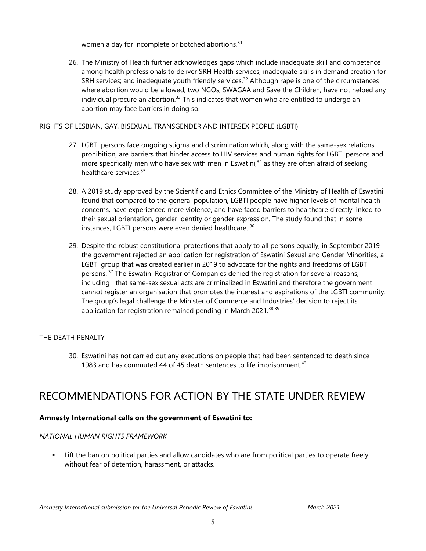women a day for incomplete or botched abortions. $^{31}$ 

26. The Ministry of Health further acknowledges gaps which include inadequate skill and competence among health professionals to deliver SRH Health services; inadequate skills in demand creation for SRH services; and inadequate youth friendly services. 32 Although rape is one of the circumstances where abortion would be allowed, two NGOs, SWAGAA and Save the Children, have not helped any individual procure an abortion.<sup>33</sup> This indicates that women who are entitled to undergo an abortion may face barriers in doing so.

#### RIGHTS OF LESBIAN, GAY, BISEXUAL, TRANSGENDER AND INTERSEX PEOPLE (LGBTI)

- 27. LGBTI persons face ongoing stigma and discrimination which, along with the same-sex relations prohibition, are barriers that hinder access to HIV services and human rights for LGBTI persons and more specifically men who have sex with men in Eswatini, 34 as they are often afraid of seeking healthcare services.<sup>35</sup>
- 28. A 2019 study approved by the Scientific and Ethics Committee of the Ministry of Health of Eswatini found that compared to the general population, LGBTI people have higher levels of mental health concerns, have experienced more violence, and have faced barriers to healthcare directly linked to their sexual orientation, gender identity or gender expression. The study found that in some instances, LGBTI persons were even denied healthcare. 36
- 29. Despite the robust constitutional protections that apply to all persons equally, in September 2019 the governmen<sup>t</sup> rejected an application for registration of Eswatini Sexual and Gender Minorities, <sup>a</sup> LGBTI group that was created earlier in 2019 to advocate for the rights and freedoms of LGBTI persons. <sup>37</sup> The Eswatini Registrar of Companies denied the registration for several reasons, including that same-sex sexual acts are criminalized in Eswatini and therefore the governmen<sup>t</sup> cannot register an organisation that promotes the interest and aspirations of the LGBTI community. The group'<sup>s</sup> legal challenge the Minister of Commerce and Industries' decision to reject its application for registration remained pending in March 2021.<sup>38 39</sup>

### THE DEATH PENALTY

30. Eswatini has not carried out any executions on people that had been sentenced to death since 1983 and has commuted 44 of 45 death sentences to life imprisonment. $^{40}$ 

### RECOMMENDATIONS FOR ACTION BY THE STATE UNDER REVIEW

#### **Amnesty International calls on the government of Eswatini to:**

#### *NATIONAL HUMAN RIGHTS FRAMEWORK*

 Lift the ban on political parties and allow candidates who are from political parties to operate freely without fear of detention, harassment, or attacks.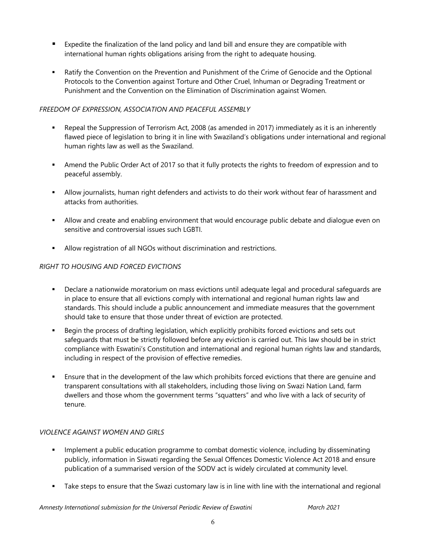- Expedite the finalization of the land policy and land bill and ensure they are compatible with international human rights obligations arising from the right to adequate housing.
- Ratify the Convention on the Prevention and Punishment of the Crime of Genocide and the Optional Protocols to the Convention against Torture and Other Cruel, Inhuman or Degrading Treatment or Punishment and the Convention on the Elimination of Discrimination against Women.

#### *FREEDOM OF EXPRESSION, ASSOCIATION AND PEACEFUL ASSEMBLY*

- $\mathbf{r}$  . Repeal the Suppression of Terrorism Act, 2008 (as amended in 2017) immediately as it is an inherently flawed piece of legislation to bring it in line with Swaziland'<sup>s</sup> obligations under international and regional human rights law as well as the Swaziland.
- Amend the Public Order Act of 2017 so that it fully protects the rights to freedom of expression and to peaceful assembly.
- Allow journalists, human right defenders and activists to do their work without fear of harassment and attacks from authorities.
- Allow and create and enabling environment that would encourage public debate and dialogue even on sensitive and controversial issues such LGBTI.
- Allow registration of all NGOs without discrimination and restrictions.

### *RIGHT TO HOUSING AND FORCED EVICTIONS*

- Declare <sup>a</sup> nationwide moratorium on mass evictions until adequate legal and procedural safeguards are in place to ensure that all evictions comply with international and regional human rights law and standards. This should include <sup>a</sup> public announcement and immediate measures that the governmen<sup>t</sup> should take to ensure that those under threat of eviction are protected.
- $\mathbf{E}^{\text{max}}$  Begin the process of drafting legislation, which explicitly prohibits forced evictions and sets out safeguards that must be strictly followed before any eviction is carried out. This law should be in strict compliance with Eswatini'<sup>s</sup> Constitution and international and regional human rights law and standards, including in respect of the provision of effective remedies.
- Ensure that in the development of the law which prohibits forced evictions that there are genuine and transparent consultations with all stakeholders, including those living on Swazi Nation Land, farm dwellers and those whom the governmen<sup>t</sup> terms "squatters" and who live with <sup>a</sup> lack of security of tenure.

#### *VIOLENCE AGAINST WOMEN AND GIRLS*

- Implement <sup>a</sup> public education programme to combat domestic violence, including by disseminating publicly, information in Siswati regarding the Sexual Offences Domestic Violence Act 2018 and ensure publication of <sup>a</sup> summarised version of the SODV act is widely circulated at community level.
- Take steps to ensure that the Swazi customary law is in line with line with the international and regional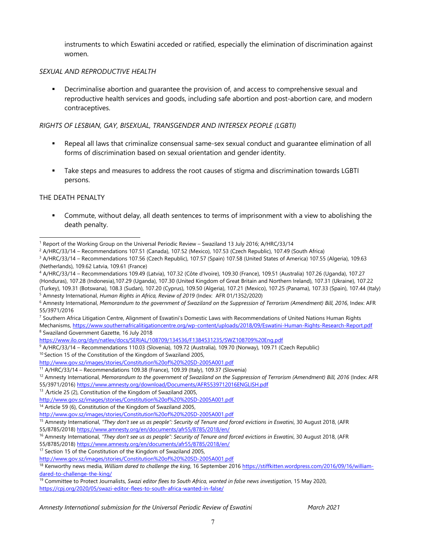instruments to which Eswatini acceded or ratified, especially the elimination of discrimination against women.

#### *SEXUAL AND REPRODUCTIVE HEALTH*

 $\blacksquare$  Decriminalise abortion and guarantee the provision of, and access to comprehensive sexual and reproductive health services and goods, including safe abortion and post-abortion care, and modern contraceptives.

#### *RIGHTS OF LESBIAN, GAY, BISEXUAL, TRANSGENDER AND INTERSEX PEOPLE (LGBTI)*

- Repeal all laws that criminalize consensual same-sex sexual conduct and guarantee elimination of all forms of discrimination based on sexual orientation and gender identity.
- Take steps and measures to address the root causes of stigma and discrimination towards LGBTI persons.

#### THE DEATH PENALTY

 Commute, without delay, all death sentences to terms of imprisonment with <sup>a</sup> view to abolishing the death penalty.

<sup>10</sup> Section 15 of the Constitution of the Kingdom of Swaziland 2005,

55/8785/2018) <https://www.amnesty.org/en/documents/afr55/8785/2018/en/>

<sup>1</sup> Report of the Working Group on the Universal Periodic Review – Swaziland 13 July 2016; A/HRC/33/14

<sup>&</sup>lt;sup>2</sup> A/HRC/33/14 – Recommendations 107.51 (Canada), 107.52 (Mexico), 107.53 (Czech Republic), 107.49 (South Africa)

<sup>&</sup>lt;sup>3</sup> A/HRC/33/14 – Recommendations 107.56 (Czech Republic), 107.57 (Spain) 107.58 (United States of America) 107.55 (Algeria), 109.63 (Netherlands), 109.62 Latvia, 109.61 (France)

<sup>4</sup> A/HRC/33/14 – Recommendations 109.49 (Latvia), 107.32 (Côte d'Ivoire), 109.30 (France), 109.51 (Australia) 107.26 (Uganda), 107.27 (Honduras), 107.28 (Indonesia),107.29 (Uganda), 107.30 (United Kingdom of Great Britain and Northern Ireland), 107.31 (Ukraine), 107.22 (Turkey), 109.31 (Botswana), 108.3 (Sudan), 107.20 (Cyprus), 109.50 (Algeria), 107.21 (Mexico), 107.25 (Panama), 107.33 (Spain), 107.44 (Italy) 5 Amnesty International, *Human Rights in Africa, Review of 2019* (Index: AFR 01/1352/2020)

<sup>&</sup>lt;sup>6</sup> Amnesty International, Memorandum to the government of Swaziland on the Suppression of Terrorism (Amendment) Bill, 2016, Index: AFR 55/3971/2016

<sup>&</sup>lt;sup>7</sup> Southern Africa Litigation Centre, Alignment of Eswatini's Domestic Laws with Recommendations of United Nations Human Rights Mechanisms, <https://www.southernafricalitigationcentre.org/wp-content/uploads/2018/09/Eswatini-Human-Rights-Research-Report.pdf> 8 Swaziland Government Gazette, 16 July 2018

<https://www.ilo.org/dyn/natlex/docs/SERIAL/108709/134536/F1384531235/SWZ108709%20Eng.pdf>

<sup>9</sup> A/HRC/33/14 – Recommendations 110.03 (Slovenia), 109.72 (Australia), 109.70 (Norway), 109.71 (Czech Republic)

<http://www.gov.sz/images/stories/Constitution%20of%20%20SD-2005A001.pdf>

<sup>&</sup>lt;sup>11</sup> A/HRC/33/14 – Recommendations 109.38 (France), 109.39 (Italy), 109.37 (Slovenia)

 $^{12}$  Amnesty International, Memorandum to the government of Swaziland on the Suppression of Terrorism (Amendment) Bill, 2016 (Index: AFR 55/3971/2016) <https://www.amnesty.org/download/Documents/AFR5539712016ENGLISH.pdf>

<sup>&</sup>lt;sup>13</sup> Article 25 (2), Constitution of the Kingdom of Swaziland 2005,

<http://www.gov.sz/images/stories/Constitution%20of%20%20SD-2005A001.pdf>

<sup>&</sup>lt;sup>14</sup> Article 59 (6), Constitution of the Kingdom of Swaziland 2005,

<http://www.gov.sz/images/stories/Constitution%20of%20%20SD-2005A001.pdf>

<sup>&</sup>lt;sup>15</sup> Amnesty International, "They don't see us as people": Security of Tenure and forced evictions in Eswatini, 30 August 2018, (AFR

<sup>&</sup>lt;sup>16</sup> Amnesty International, "They don't see us as people": Security of Tenure and forced evictions in Eswatini, 30 August 2018, (AFR 55/8785/2018) <https://www.amnesty.org/en/documents/afr55/8785/2018/en/>

<sup>&</sup>lt;sup>17</sup> Section 15 of the Constitution of the Kingdom of Swaziland 2005,

<http://www.gov.sz/images/stories/Constitution%20of%20%20SD-2005A001.pdf>

<sup>18</sup> Kenworthy news media, *William dared to challenge the king*, 16 September 2016 [https://stiffkitten.wordpress.com/2016/09/16/william](https://stiffkitten.wordpress.com/2016/09/16/william-dared-to-challenge-the-king/)[dared-to-challenge-the-king/](https://stiffkitten.wordpress.com/2016/09/16/william-dared-to-challenge-the-king/)

<sup>19</sup> Committee to Protect Journalists, *Swazi editor flees to South Africa, wanted in false news investigation*, 15 May 2020, <https://cpj.org/2020/05/swazi-editor-flees-to-south-africa-wanted-in-false/>